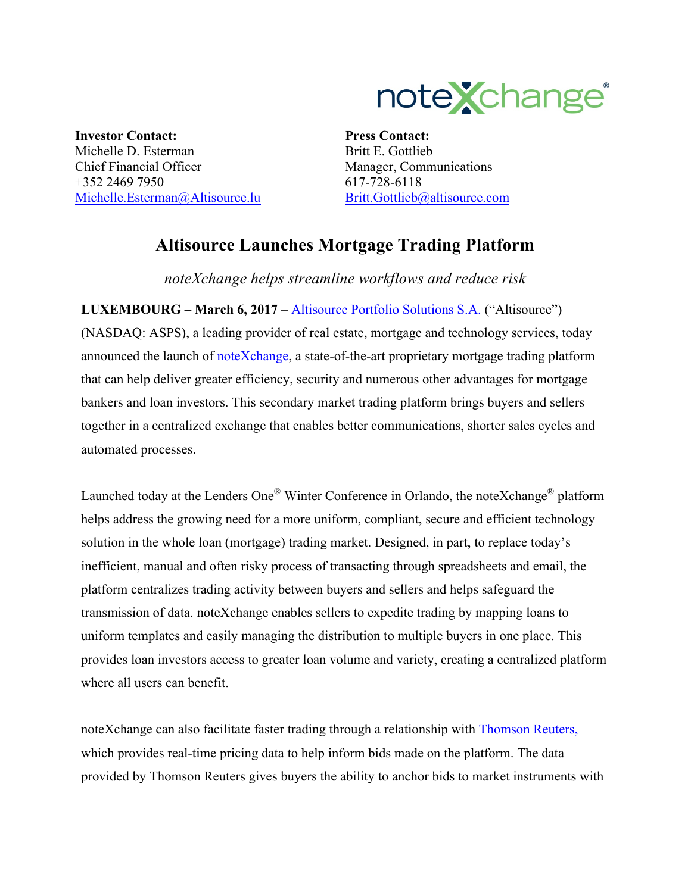

**Investor Contact:** Michelle D. Esterman Chief Financial Officer +352 2469 7950 Michelle.Esterman@Altisource.lu

**Press Contact:** Britt E. Gottlieb Manager, Communications 617-728-6118 Britt.Gottlieb@altisource.com

## **Altisource Launches Mortgage Trading Platform**

*noteXchange helps streamline workflows and reduce risk* 

**LUXEMBOURG – March 6, 2017** – Altisource Portfolio Solutions S.A. ("Altisource") (NASDAQ: ASPS), a leading provider of real estate, mortgage and technology services, today announced the launch of noteXchange, a state-of-the-art proprietary mortgage trading platform that can help deliver greater efficiency, security and numerous other advantages for mortgage bankers and loan investors. This secondary market trading platform brings buyers and sellers together in a centralized exchange that enables better communications, shorter sales cycles and automated processes.

Launched today at the Lenders One® Winter Conference in Orlando, the noteXchange® platform helps address the growing need for a more uniform, compliant, secure and efficient technology solution in the whole loan (mortgage) trading market. Designed, in part, to replace today's inefficient, manual and often risky process of transacting through spreadsheets and email, the platform centralizes trading activity between buyers and sellers and helps safeguard the transmission of data. noteXchange enables sellers to expedite trading by mapping loans to uniform templates and easily managing the distribution to multiple buyers in one place. This provides loan investors access to greater loan volume and variety, creating a centralized platform where all users can benefit.

noteXchange can also facilitate faster trading through a relationship with Thomson Reuters, which provides real-time pricing data to help inform bids made on the platform. The data provided by Thomson Reuters gives buyers the ability to anchor bids to market instruments with